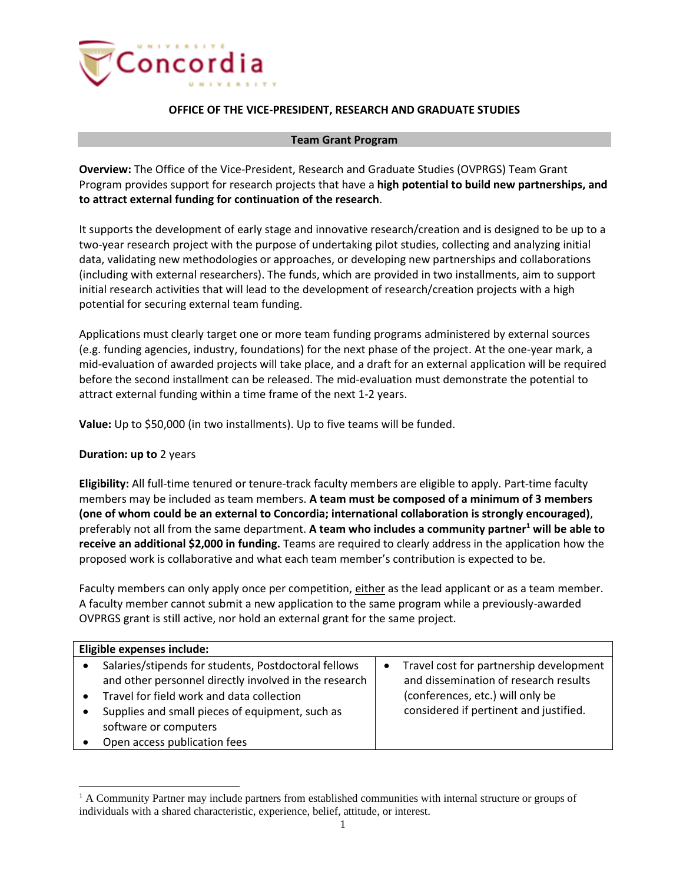

## **OFFICE OF THE VICE-PRESIDENT, RESEARCH AND GRADUATE STUDIES**

## **Team Grant Program**

**Overview:** The Office of the Vice-President, Research and Graduate Studies (OVPRGS) Team Grant Program provides support for research projects that have a **high potential to build new partnerships, and to attract external funding for continuation of the research**.

It supports the development of early stage and innovative research/creation and is designed to be up to a two-year research project with the purpose of undertaking pilot studies, collecting and analyzing initial data, validating new methodologies or approaches, or developing new partnerships and collaborations (including with external researchers). The funds, which are provided in two installments, aim to support initial research activities that will lead to the development of research/creation projects with a high potential for securing external team funding.

Applications must clearly target one or more team funding programs administered by external sources (e.g. funding agencies, industry, foundations) for the next phase of the project. At the one-year mark, a mid-evaluation of awarded projects will take place, and a draft for an external application will be required before the second installment can be released. The mid-evaluation must demonstrate the potential to attract external funding within a time frame of the next 1-2 years.

**Value:** Up to \$50,000 (in two installments). Up to five teams will be funded.

## **Duration: up to** 2 years

**Eligibility:** All full-time tenured or tenure-track faculty members are eligible to apply. Part-time faculty members may be included as team members. **A team must be composed of a minimum of 3 members (one of whom could be an external to Concordia; international collaboration is strongly encouraged)**, preferably not all from the same department. **A team who includes a community partner<sup>1</sup> will be able to receive an additional \$2,000 in funding.** Teams are required to clearly address in the application how the proposed work is collaborative and what each team member's contribution is expected to be.

Faculty members can only apply once per competition, either as the lead applicant or as a team member. A faculty member cannot submit a new application to the same program while a previously-awarded OVPRGS grant is still active, nor hold an external grant for the same project.

| Eligible expenses include: |                                                       |   |                                         |
|----------------------------|-------------------------------------------------------|---|-----------------------------------------|
|                            | Salaries/stipends for students, Postdoctoral fellows  | ٠ | Travel cost for partnership development |
|                            | and other personnel directly involved in the research |   | and dissemination of research results   |
|                            | Travel for field work and data collection             |   | (conferences, etc.) will only be        |
|                            | Supplies and small pieces of equipment, such as       |   | considered if pertinent and justified.  |
|                            | software or computers                                 |   |                                         |
|                            | Open access publication fees                          |   |                                         |

 $<sup>1</sup>$  A Community Partner may include partners from established communities with internal structure or groups of</sup> individuals with a shared characteristic, experience, belief, attitude, or interest.